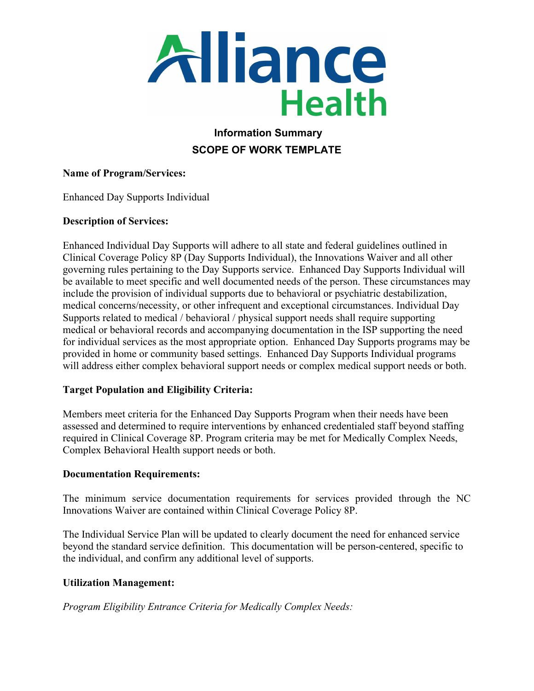

# **Information Summary SCOPE OF WORK TEMPLATE**

#### **Name of Program/Services:**

Enhanced Day Supports Individual

#### **Description of Services:**

Enhanced Individual Day Supports will adhere to all state and federal guidelines outlined in Clinical Coverage Policy 8P (Day Supports Individual), the Innovations Waiver and all other governing rules pertaining to the Day Supports service. Enhanced Day Supports Individual will be available to meet specific and well documented needs of the person. These circumstances may include the provision of individual supports due to behavioral or psychiatric destabilization, medical concerns/necessity, or other infrequent and exceptional circumstances. Individual Day Supports related to medical / behavioral / physical support needs shall require supporting medical or behavioral records and accompanying documentation in the ISP supporting the need for individual services as the most appropriate option. Enhanced Day Supports programs may be provided in home or community based settings. Enhanced Day Supports Individual programs will address either complex behavioral support needs or complex medical support needs or both.

### **Target Population and Eligibility Criteria:**

Members meet criteria for the Enhanced Day Supports Program when their needs have been assessed and determined to require interventions by enhanced credentialed staff beyond staffing required in Clinical Coverage 8P. Program criteria may be met for Medically Complex Needs, Complex Behavioral Health support needs or both.

### **Documentation Requirements:**

The minimum service documentation requirements for services provided through the NC Innovations Waiver are contained within Clinical Coverage Policy 8P.

The Individual Service Plan will be updated to clearly document the need for enhanced service beyond the standard service definition. This documentation will be person-centered, specific to the individual, and confirm any additional level of supports.

### **Utilization Management:**

*Program Eligibility Entrance Criteria for Medically Complex Needs:*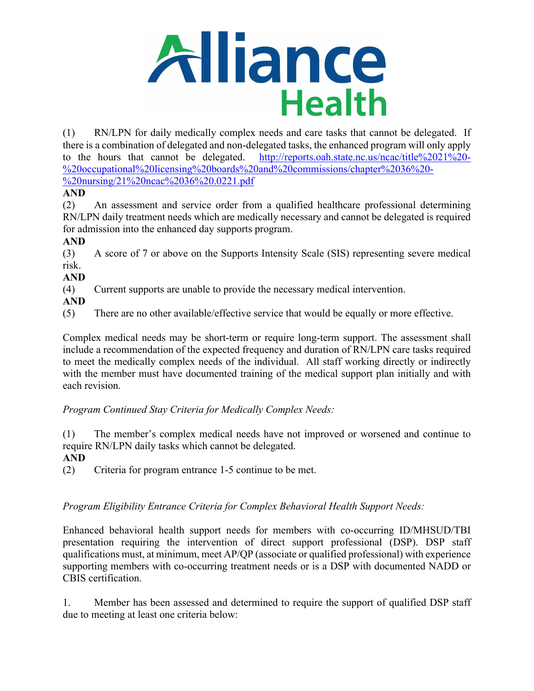

(1) RN/LPN for daily medically complex needs and care tasks that cannot be delegated. If there is a combination of delegated and non-delegated tasks, the enhanced program will only apply to the hours that cannot be delegated. [http://reports.oah.state.nc.us/ncac/title%2021%20-](http://reports.oah.state.nc.us/ncac/title%2021%20-%20occupational%20licensing%20boards%20and%20commissions/chapter%2036%20-%20nursing/21%20ncac%2036%20.0221.pdf) [%20occupational%20licensing%20boards%20and%20commissions/chapter%2036%20-](http://reports.oah.state.nc.us/ncac/title%2021%20-%20occupational%20licensing%20boards%20and%20commissions/chapter%2036%20-%20nursing/21%20ncac%2036%20.0221.pdf) [%20nursing/21%20ncac%2036%20.0221.pdf](http://reports.oah.state.nc.us/ncac/title%2021%20-%20occupational%20licensing%20boards%20and%20commissions/chapter%2036%20-%20nursing/21%20ncac%2036%20.0221.pdf)

## **AND**

(2) An assessment and service order from a qualified healthcare professional determining RN/LPN daily treatment needs which are medically necessary and cannot be delegated is required for admission into the enhanced day supports program.

## **AND**

(3) A score of 7 or above on the Supports Intensity Scale (SIS) representing severe medical risk.

### **AND**

(4) Current supports are unable to provide the necessary medical intervention.

**AND**

(5) There are no other available/effective service that would be equally or more effective.

Complex medical needs may be short-term or require long-term support. The assessment shall include a recommendation of the expected frequency and duration of RN/LPN care tasks required to meet the medically complex needs of the individual. All staff working directly or indirectly with the member must have documented training of the medical support plan initially and with each revision.

*Program Continued Stay Criteria for Medically Complex Needs:*

(1) The member's complex medical needs have not improved or worsened and continue to require RN/LPN daily tasks which cannot be delegated.

### **AND**

(2) Criteria for program entrance 1-5 continue to be met.

## *Program Eligibility Entrance Criteria for Complex Behavioral Health Support Needs:*

Enhanced behavioral health support needs for members with co-occurring ID/MHSUD/TBI presentation requiring the intervention of direct support professional (DSP). DSP staff qualifications must, at minimum, meet AP/QP (associate or qualified professional) with experience supporting members with co-occurring treatment needs or is a DSP with documented NADD or CBIS certification.

1. Member has been assessed and determined to require the support of qualified DSP staff due to meeting at least one criteria below: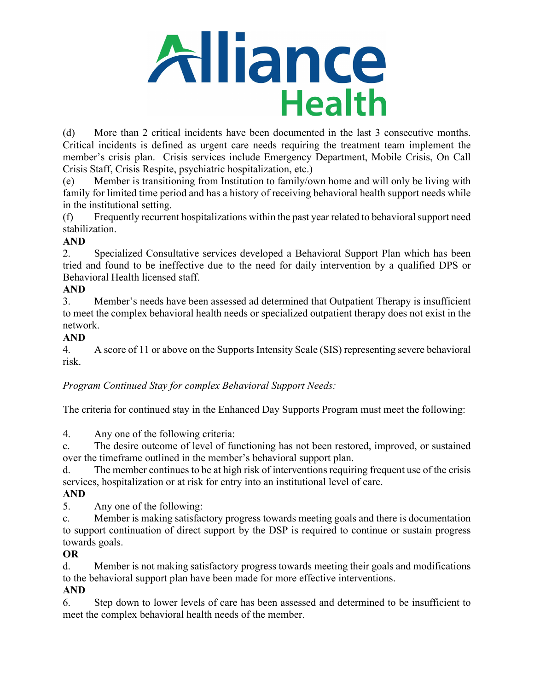

(d) More than 2 critical incidents have been documented in the last 3 consecutive months. Critical incidents is defined as urgent care needs requiring the treatment team implement the member's crisis plan. Crisis services include Emergency Department, Mobile Crisis, On Call Crisis Staff, Crisis Respite, psychiatric hospitalization, etc.)

(e) Member is transitioning from Institution to family/own home and will only be living with family for limited time period and has a history of receiving behavioral health support needs while in the institutional setting.

(f) Frequently recurrent hospitalizations within the past year related to behavioral support need stabilization.

# **AND**

2. Specialized Consultative services developed a Behavioral Support Plan which has been tried and found to be ineffective due to the need for daily intervention by a qualified DPS or Behavioral Health licensed staff.

## **AND**

3. Member's needs have been assessed ad determined that Outpatient Therapy is insufficient to meet the complex behavioral health needs or specialized outpatient therapy does not exist in the network.

## **AND**

4. A score of 11 or above on the Supports Intensity Scale (SIS) representing severe behavioral risk.

*Program Continued Stay for complex Behavioral Support Needs:*

The criteria for continued stay in the Enhanced Day Supports Program must meet the following:

4. Any one of the following criteria:

c. The desire outcome of level of functioning has not been restored, improved, or sustained over the timeframe outlined in the member's behavioral support plan.

d. The member continues to be at high risk of interventions requiring frequent use of the crisis services, hospitalization or at risk for entry into an institutional level of care.

## **AND**

5. Any one of the following:

c. Member is making satisfactory progress towards meeting goals and there is documentation to support continuation of direct support by the DSP is required to continue or sustain progress towards goals.

## **OR**

d. Member is not making satisfactory progress towards meeting their goals and modifications to the behavioral support plan have been made for more effective interventions.

## **AND**

6. Step down to lower levels of care has been assessed and determined to be insufficient to meet the complex behavioral health needs of the member.